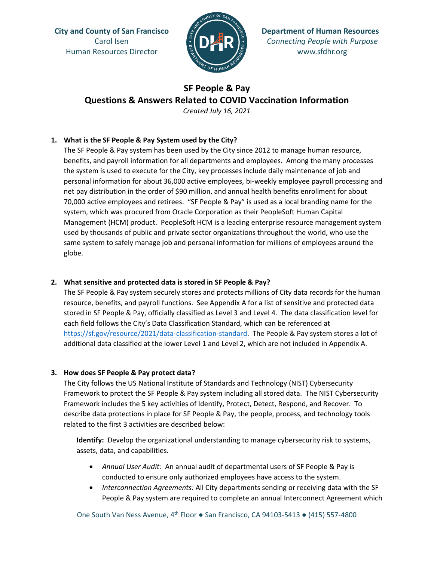Human Resources Director  $\frac{m}{2}$   $\frac{m}{2}$   $\frac{m}{2}$  www.sfdhr.org



**City and County of San Francisco Department of Human Resources** Carol Isen *Connecting People with Purpose*

# **SF People & Pay Questions & Answers Related to COVID Vaccination Information**

*Created July 16, 2021*

#### **1. What is the SF People & Pay System used by the City?**

The SF People & Pay system has been used by the City since 2012 to manage human resource, benefits, and payroll information for all departments and employees. Among the many processes the system is used to execute for the City, key processes include daily maintenance of job and personal information for about 36,000 active employees, bi-weekly employee payroll processing and net pay distribution in the order of \$90 million, and annual health benefits enrollment for about 70,000 active employees and retirees. "SF People & Pay" is used as a local branding name for the system, which was procured from Oracle Corporation as their PeopleSoft Human Capital Management (HCM) product. PeopleSoft HCM is a leading enterprise resource management system used by thousands of public and private sector organizations throughout the world, who use the same system to safely manage job and personal information for millions of employees around the globe.

#### **2. What sensitive and protected data is stored in SF People & Pay?**

The SF People & Pay system securely stores and protects millions of City data records for the human resource, benefits, and payroll functions. See Appendix A for a list of sensitive and protected data stored in SF People & Pay, officially classified as Level 3 and Level 4. The data classification level for each field follows the City's Data Classification Standard, which can be referenced at [https://sf.gov/resource/2021/data-classification-standard.](https://sf.gov/resource/2021/data-classification-standard) The People & Pay system stores a lot of additional data classified at the lower Level 1 and Level 2, which are not included in Appendix A.

#### **3. How does SF People & Pay protect data?**

The City follows the US National Institute of Standards and Technology (NIST) Cybersecurity Framework to protect the SF People & Pay system including all stored data. The NIST Cybersecurity Framework includes the 5 key activities of Identify, Protect, Detect, Respond, and Recover. To describe data protections in place for SF People & Pay, the people, process, and technology tools related to the first 3 activities are described below:

**Identify:** Develop the organizational understanding to manage cybersecurity risk to systems, assets, data, and capabilities.

- *Annual User Audit:* An annual audit of departmental users of SF People & Pay is conducted to ensure only authorized employees have access to the system.
- *Interconnection Agreements:* All City departments sending or receiving data with the SF People & Pay system are required to complete an annual Interconnect Agreement which

One South Van Ness Avenue, 4th Floor **●** San Francisco, CA 94103-5413 ● (415) 557-4800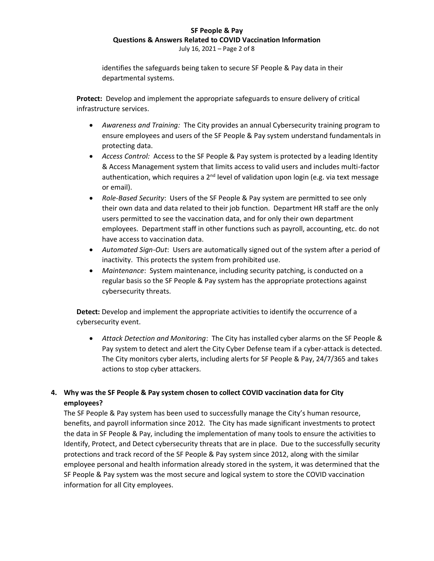#### **SF People & Pay Questions & Answers Related to COVID Vaccination Information** July 16, 2021 – Page 2 of 8

identifies the safeguards being taken to secure SF People & Pay data in their departmental systems.

**Protect:** Develop and implement the appropriate safeguards to ensure delivery of critical infrastructure services.

- *Awareness and Training:* The City provides an annual Cybersecurity training program to ensure employees and users of the SF People & Pay system understand fundamentals in protecting data.
- *Access Control:* Access to the SF People & Pay system is protected by a leading Identity & Access Management system that limits access to valid users and includes multi-factor authentication, which requires a  $2<sup>nd</sup>$  level of validation upon login (e.g. via text message or email).
- *Role-Based Security*: Users of the SF People & Pay system are permitted to see only their own data and data related to their job function. Department HR staff are the only users permitted to see the vaccination data, and for only their own department employees. Department staff in other functions such as payroll, accounting, etc. do not have access to vaccination data.
- *Automated Sign-Out*: Users are automatically signed out of the system after a period of inactivity. This protects the system from prohibited use.
- *Maintenance*: System maintenance, including security patching, is conducted on a regular basis so the SF People & Pay system has the appropriate protections against cybersecurity threats.

**Detect:** Develop and implement the appropriate activities to identify the occurrence of a cybersecurity event.

• *Attack Detection and Monitoring*: The City has installed cyber alarms on the SF People & Pay system to detect and alert the City Cyber Defense team if a cyber-attack is detected. The City monitors cyber alerts, including alerts for SF People & Pay, 24/7/365 and takes actions to stop cyber attackers.

#### **4. Why was the SF People & Pay system chosen to collect COVID vaccination data for City employees?**

The SF People & Pay system has been used to successfully manage the City's human resource, benefits, and payroll information since 2012. The City has made significant investments to protect the data in SF People & Pay, including the implementation of many tools to ensure the activities to Identify, Protect, and Detect cybersecurity threats that are in place. Due to the successfully security protections and track record of the SF People & Pay system since 2012, along with the similar employee personal and health information already stored in the system, it was determined that the SF People & Pay system was the most secure and logical system to store the COVID vaccination information for all City employees.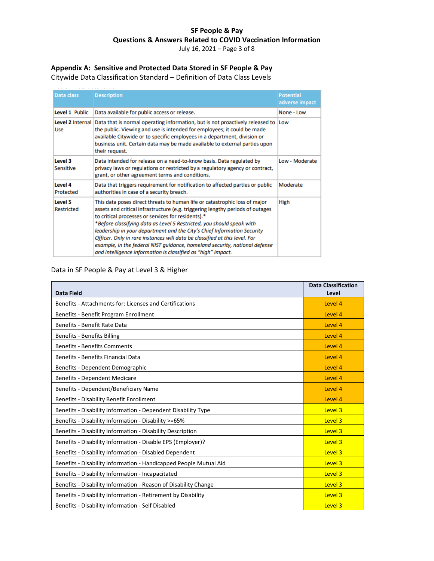July 16, 2021 – Page 3 of 8

## **Appendix A: Sensitive and Protected Data Stored in SF People & Pay**

Citywide Data Classification Standard – Definition of Data Class Levels

| Data class                  | <b>Description</b>                                                                                                                                                                                                                                                                                                                                                                                                                                                                                                                                                                                 | <b>Potential</b><br>adverse impact |
|-----------------------------|----------------------------------------------------------------------------------------------------------------------------------------------------------------------------------------------------------------------------------------------------------------------------------------------------------------------------------------------------------------------------------------------------------------------------------------------------------------------------------------------------------------------------------------------------------------------------------------------------|------------------------------------|
| Level 1 Public              | Data available for public access or release.                                                                                                                                                                                                                                                                                                                                                                                                                                                                                                                                                       | None - Low                         |
| <b>Use</b>                  | Level 2 Internal Data that is normal operating information, but is not proactively released to<br>the public. Viewing and use is intended for employees; it could be made<br>available Citywide or to specific employees in a department, division or<br>business unit. Certain data may be made available to external parties upon<br>their request.                                                                                                                                                                                                                                              | Low                                |
| Level 3<br><b>Sensitive</b> | Data intended for release on a need-to-know basis. Data regulated by<br>privacy laws or regulations or restricted by a regulatory agency or contract,<br>grant, or other agreement terms and conditions.                                                                                                                                                                                                                                                                                                                                                                                           | Low - Moderate                     |
| Level 4<br>Protected        | Data that triggers requirement for notification to affected parties or public<br>authorities in case of a security breach.                                                                                                                                                                                                                                                                                                                                                                                                                                                                         | Moderate                           |
| Level 5<br>Restricted       | This data poses direct threats to human life or catastrophic loss of major<br>assets and critical infrastructure (e.g. triggering lengthy periods of outages<br>to critical processes or services for residents).*<br>*Before classifying data as Level 5 Restricted, you should speak with<br>leadership in your department and the City's Chief Information Security<br>Officer. Only in rare instances will data be classified at this level. For<br>example, in the federal NIST guidance, homeland security, national defense<br>and intelligence information is classified as "high" impact. | High                               |

#### Data in SF People & Pay at Level 3 & Higher

| Data Field                                                        | <b>Data Classification</b><br>Level |
|-------------------------------------------------------------------|-------------------------------------|
| Benefits - Attachments for: Licenses and Certifications           | Level 4                             |
| Benefits - Benefit Program Enrollment                             | Level 4                             |
| Benefits - Benefit Rate Data                                      | Level 4                             |
| <b>Benefits - Benefits Billing</b>                                | Level 4                             |
| <b>Benefits - Benefits Comments</b>                               | Level 4                             |
| <b>Benefits - Benefits Financial Data</b>                         | Level 4                             |
| Benefits - Dependent Demographic                                  | Level 4                             |
| <b>Benefits - Dependent Medicare</b>                              | Level 4                             |
| Benefits - Dependent/Beneficiary Name                             | Level 4                             |
| Benefits - Disability Benefit Enrollment                          | Level 4                             |
| Benefits - Disability Information - Dependent Disability Type     | Level 3                             |
| Benefits - Disability Information - Disability >=65%              | Level 3                             |
| Benefits - Disability Information - Disability Description        | Level 3                             |
| Benefits - Disability Information - Disable EPS (Employer)?       | Level 3                             |
| Benefits - Disability Information - Disabled Dependent            | Level 3                             |
| Benefits - Disability Information - Handicapped People Mutual Aid | Level 3                             |
| Benefits - Disability Information - Incapacitated                 | Level 3                             |
| Benefits - Disability Information - Reason of Disability Change   | Level 3                             |
| Benefits - Disability Information - Retirement by Disability      | Level 3                             |
| Benefits - Disability Information - Self Disabled                 | Level 3                             |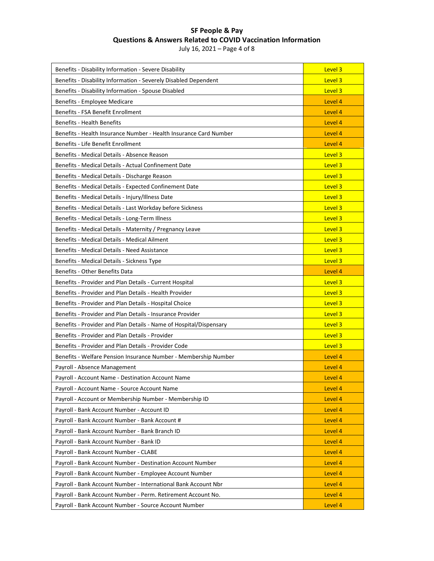July 16, 2021 – Page 4 of 8

| Benefits - Disability Information - Severe Disability              | Level 3 |
|--------------------------------------------------------------------|---------|
| Benefits - Disability Information - Severely Disabled Dependent    | Level 3 |
| Benefits - Disability Information - Spouse Disabled                | Level 3 |
| Benefits - Employee Medicare                                       | Level 4 |
| Benefits - FSA Benefit Enrollment                                  | Level 4 |
| <b>Benefits - Health Benefits</b>                                  | Level 4 |
| Benefits - Health Insurance Number - Health Insurance Card Number  | Level 4 |
| Benefits - Life Benefit Enrollment                                 | Level 4 |
| Benefits - Medical Details - Absence Reason                        | Level 3 |
| Benefits - Medical Details - Actual Confinement Date               | Level 3 |
| Benefits - Medical Details - Discharge Reason                      | Level 3 |
| Benefits - Medical Details - Expected Confinement Date             | Level 3 |
| Benefits - Medical Details - Injury/Illness Date                   | Level 3 |
| Benefits - Medical Details - Last Workday before Sickness          | Level 3 |
| Benefits - Medical Details - Long-Term Illness                     | Level 3 |
| Benefits - Medical Details - Maternity / Pregnancy Leave           | Level 3 |
| Benefits - Medical Details - Medical Ailment                       | Level 3 |
| Benefits - Medical Details - Need Assistance                       | Level 3 |
| Benefits - Medical Details - Sickness Type                         | Level 3 |
| Benefits - Other Benefits Data                                     | Level 4 |
| Benefits - Provider and Plan Details - Current Hospital            | Level 3 |
| Benefits - Provider and Plan Details - Health Provider             | Level 3 |
| Benefits - Provider and Plan Details - Hospital Choice             | Level 3 |
| Benefits - Provider and Plan Details - Insurance Provider          | Level 3 |
| Benefits - Provider and Plan Details - Name of Hospital/Dispensary | Level 3 |
| Benefits - Provider and Plan Details - Provider                    | Level 3 |
| Benefits - Provider and Plan Details - Provider Code               | Level 3 |
| Benefits - Welfare Pension Insurance Number - Membership Number    | Level 4 |
| Payroll - Absence Management                                       | Level 4 |
| Payroll - Account Name - Destination Account Name                  | Level 4 |
| Payroll - Account Name - Source Account Name                       | Level 4 |
| Payroll - Account or Membership Number - Membership ID             | Level 4 |
| Payroll - Bank Account Number - Account ID                         | Level 4 |
| Payroll - Bank Account Number - Bank Account #                     | Level 4 |
| Payroll - Bank Account Number - Bank Branch ID                     | Level 4 |
| Payroll - Bank Account Number - Bank ID                            | Level 4 |
| Payroll - Bank Account Number - CLABE                              | Level 4 |
| Payroll - Bank Account Number - Destination Account Number         | Level 4 |
| Payroll - Bank Account Number - Employee Account Number            | Level 4 |
| Payroll - Bank Account Number - International Bank Account Nbr     | Level 4 |
| Payroll - Bank Account Number - Perm. Retirement Account No.       | Level 4 |
| Payroll - Bank Account Number - Source Account Number              | Level 4 |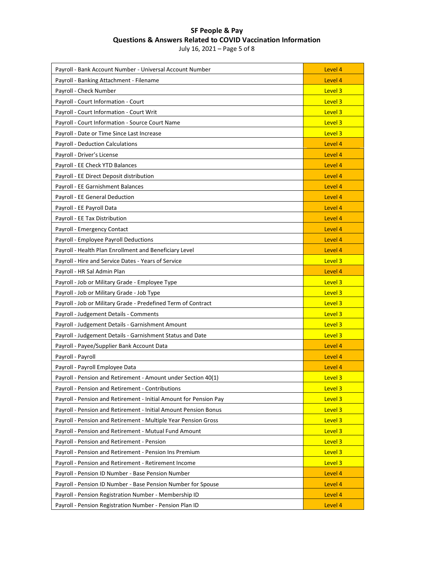July 16, 2021 – Page 5 of 8

| Payroll - Bank Account Number - Universal Account Number          | Level 4 |
|-------------------------------------------------------------------|---------|
| Payroll - Banking Attachment - Filename                           | Level 4 |
| Payroll - Check Number                                            | Level 3 |
| Payroll - Court Information - Court                               | Level 3 |
| Payroll - Court Information - Court Writ                          | Level 3 |
| Payroll - Court Information - Source Court Name                   | Level 3 |
| Payroll - Date or Time Since Last Increase                        | Level 3 |
| <b>Payroll - Deduction Calculations</b>                           | Level 4 |
| Payroll - Driver's License                                        | Level 4 |
| Payroll - EE Check YTD Balances                                   | Level 4 |
| Payroll - EE Direct Deposit distribution                          | Level 4 |
| Payroll - EE Garnishment Balances                                 | Level 4 |
| Payroll - EE General Deduction                                    | Level 4 |
| Payroll - EE Payroll Data                                         | Level 4 |
| Payroll - EE Tax Distribution                                     | Level 4 |
| Payroll - Emergency Contact                                       | Level 4 |
| Payroll - Employee Payroll Deductions                             | Level 4 |
| Payroll - Health Plan Enrollment and Beneficiary Level            | Level 4 |
| Payroll - Hire and Service Dates - Years of Service               | Level 3 |
| Payroll - HR Sal Admin Plan                                       | Level 4 |
| Payroll - Job or Military Grade - Employee Type                   | Level 3 |
| Payroll - Job or Military Grade - Job Type                        | Level 3 |
| Payroll - Job or Military Grade - Predefined Term of Contract     | Level 3 |
| Payroll - Judgement Details - Comments                            | Level 3 |
| Payroll - Judgement Details - Garnishment Amount                  | Level 3 |
| Payroll - Judgement Details - Garnishment Status and Date         | Level 3 |
| Payroll - Payee/Supplier Bank Account Data                        | Level 4 |
| Payroll - Payroll                                                 | Level 4 |
| Payroll - Payroll Employee Data                                   | Level 4 |
| Payroll - Pension and Retirement - Amount under Section 40(1)     | Level 3 |
| Payroll - Pension and Retirement - Contributions                  | Level 3 |
| Payroll - Pension and Retirement - Initial Amount for Pension Pay | Level 3 |
| Payroll - Pension and Retirement - Initial Amount Pension Bonus   | Level 3 |
| Payroll - Pension and Retirement - Multiple Year Pension Gross    | Level 3 |
| Payroll - Pension and Retirement - Mutual Fund Amount             | Level 3 |
| Payroll - Pension and Retirement - Pension                        | Level 3 |
| Payroll - Pension and Retirement - Pension Ins Premium            | Level 3 |
| Payroll - Pension and Retirement - Retirement Income              | Level 3 |
| Payroll - Pension ID Number - Base Pension Number                 | Level 4 |
| Payroll - Pension ID Number - Base Pension Number for Spouse      | Level 4 |
| Payroll - Pension Registration Number - Membership ID             | Level 4 |
| Payroll - Pension Registration Number - Pension Plan ID           | Level 4 |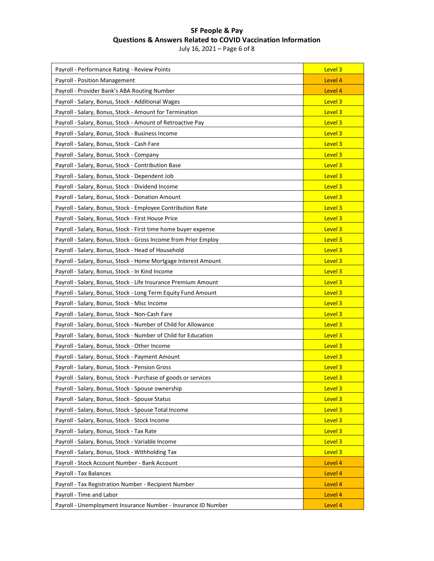July 16, 2021 – Page 6 of 8

| Payroll - Performance Rating - Review Points                    | Level 3 |
|-----------------------------------------------------------------|---------|
| Payroll - Position Management                                   | Level 4 |
| Payroll - Provider Bank's ABA Routing Number                    | Level 4 |
| Payroll - Salary, Bonus, Stock - Additional Wages               | Level 3 |
| Payroll - Salary, Bonus, Stock - Amount for Termination         | Level 3 |
| Payroll - Salary, Bonus, Stock - Amount of Retroactive Pay      | Level 3 |
| Payroll - Salary, Bonus, Stock - Business Income                | Level 3 |
| Payroll - Salary, Bonus, Stock - Cash Fare                      | Level 3 |
| Payroll - Salary, Bonus, Stock - Company                        | Level 3 |
| Payroll - Salary, Bonus, Stock - Contribution Base              | Level 3 |
| Payroll - Salary, Bonus, Stock - Dependent Job                  | Level 3 |
| Payroll - Salary, Bonus, Stock - Dividend Income                | Level 3 |
| Payroll - Salary, Bonus, Stock - Donation Amount                | Level 3 |
| Payroll - Salary, Bonus, Stock - Employee Contribution Rate     | Level 3 |
| Payroll - Salary, Bonus, Stock - First House Price              | Level 3 |
| Payroll - Salary, Bonus, Stock - First time home buyer expense  | Level 3 |
| Payroll - Salary, Bonus, Stock - Gross Income from Prior Employ | Level 3 |
| Payroll - Salary, Bonus, Stock - Head of Household              | Level 3 |
| Payroll - Salary, Bonus, Stock - Home Mortgage Interest Amount  | Level 3 |
| Payroll - Salary, Bonus, Stock - In Kind Income                 | Level 3 |
| Payroll - Salary, Bonus, Stock - Life Insurance Premium Amount  | Level 3 |
| Payroll - Salary, Bonus, Stock - Long Term Equity Fund Amount   | Level 3 |
| Payroll - Salary, Bonus, Stock - Misc Income                    | Level 3 |
| Payroll - Salary, Bonus, Stock - Non-Cash Fare                  | Level 3 |
| Payroll - Salary, Bonus, Stock - Number of Child for Allowance  | Level 3 |
| Payroll - Salary, Bonus, Stock - Number of Child for Education  | Level 3 |
| Payroll - Salary, Bonus, Stock - Other Income                   | Level 3 |
| Payroll - Salary, Bonus, Stock - Payment Amount                 | Level 3 |
| Payroll - Salary, Bonus, Stock - Pension Gross                  | Level 3 |
| Payroll - Salary, Bonus, Stock - Purchase of goods or services  | Level 3 |
| Payroll - Salary, Bonus, Stock - Spouse ownership               | Level 3 |
| Payroll - Salary, Bonus, Stock - Spouse Status                  | Level 3 |
| Payroll - Salary, Bonus, Stock - Spouse Total Income            | Level 3 |
| Payroll - Salary, Bonus, Stock - Stock Income                   | Level 3 |
| Payroll - Salary, Bonus, Stock - Tax Rate                       | Level 3 |
| Payroll - Salary, Bonus, Stock - Variable Income                | Level 3 |
| Payroll - Salary, Bonus, Stock - Withholding Tax                | Level 3 |
| Payroll - Stock Account Number - Bank Account                   | Level 4 |
| Payroll - Tax Balances                                          | Level 4 |
| Payroll - Tax Registration Number - Recipient Number            | Level 4 |
| Payroll - Time and Labor                                        | Level 4 |
| Payroll - Unemployment Insurance Number - Insurance ID Number   | Level 4 |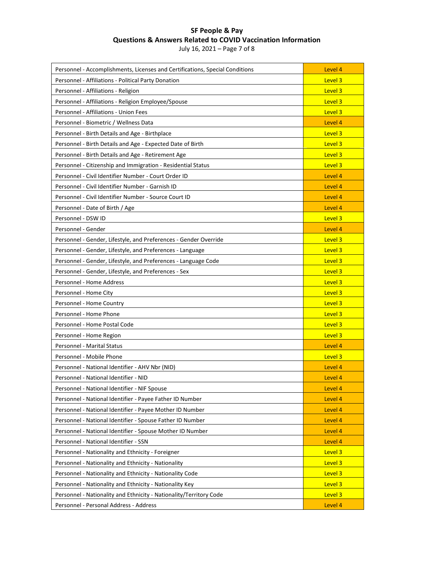July 16, 2021 – Page 7 of 8

| Personnel - Accomplishments, Licenses and Certifications, Special Conditions | Level 4 |
|------------------------------------------------------------------------------|---------|
| Personnel - Affiliations - Political Party Donation                          | Level 3 |
| Personnel - Affiliations - Religion                                          | Level 3 |
| Personnel - Affiliations - Religion Employee/Spouse                          | Level 3 |
| Personnel - Affiliations - Union Fees                                        | Level 3 |
| Personnel - Biometric / Wellness Data                                        | Level 4 |
| Personnel - Birth Details and Age - Birthplace                               | Level 3 |
| Personnel - Birth Details and Age - Expected Date of Birth                   | Level 3 |
| Personnel - Birth Details and Age - Retirement Age                           | Level 3 |
| Personnel - Citizenship and Immigration - Residential Status                 | Level 3 |
| Personnel - Civil Identifier Number - Court Order ID                         | Level 4 |
| Personnel - Civil Identifier Number - Garnish ID                             | Level 4 |
| Personnel - Civil Identifier Number - Source Court ID                        | Level 4 |
| Personnel - Date of Birth / Age                                              | Level 4 |
| Personnel - DSW ID                                                           | Level 3 |
| Personnel - Gender                                                           | Level 4 |
| Personnel - Gender, Lifestyle, and Preferences - Gender Override             | Level 3 |
| Personnel - Gender, Lifestyle, and Preferences - Language                    | Level 3 |
| Personnel - Gender, Lifestyle, and Preferences - Language Code               | Level 3 |
| Personnel - Gender, Lifestyle, and Preferences - Sex                         | Level 3 |
| Personnel - Home Address                                                     | Level 3 |
| Personnel - Home City                                                        | Level 3 |
| Personnel - Home Country                                                     | Level 3 |
| Personnel - Home Phone                                                       | Level 3 |
| Personnel - Home Postal Code                                                 | Level 3 |
| Personnel - Home Region                                                      | Level 3 |
| <b>Personnel - Marital Status</b>                                            | Level 4 |
| Personnel - Mobile Phone                                                     | Level 3 |
| Personnel - National Identifier - AHV Nbr (NID)                              | Level 4 |
| Personnel - National Identifier - NID                                        | Level 4 |
| Personnel - National Identifier - NIF Spouse                                 | Level 4 |
| Personnel - National Identifier - Payee Father ID Number                     | Level 4 |
| Personnel - National Identifier - Payee Mother ID Number                     | Level 4 |
| Personnel - National Identifier - Spouse Father ID Number                    | Level 4 |
| Personnel - National Identifier - Spouse Mother ID Number                    | Level 4 |
| Personnel - National Identifier - SSN                                        | Level 4 |
| Personnel - Nationality and Ethnicity - Foreigner                            | Level 3 |
| Personnel - Nationality and Ethnicity - Nationality                          | Level 3 |
| Personnel - Nationality and Ethnicity - Nationality Code                     | Level 3 |
| Personnel - Nationality and Ethnicity - Nationality Key                      | Level 3 |
| Personnel - Nationality and Ethnicity - Nationality/Territory Code           | Level 3 |
|                                                                              |         |